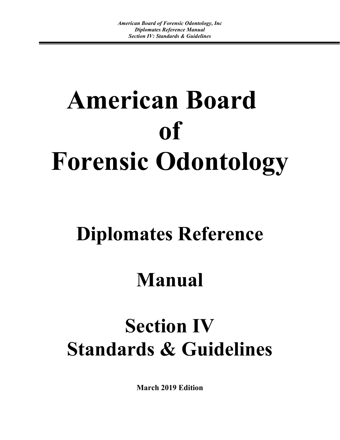# **American Board of Forensic Odontology**

## **Diplomates Reference**

## **Manual**

## **Section IV Standards & Guidelines**

**March 2019 Edition**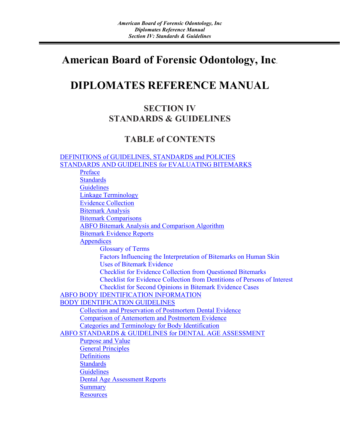## **American Board of Forensic Odontology, Inc**.

## **DIPLOMATES REFERENCE MANUAL**

## **SECTION IV STANDARDS & GUIDELINES**

### **TABLE of CONTENTS**

<span id="page-1-0"></span>[DEFINITIONS of GUIDELINES, STANDARDS and POLICIES](#page-1-0) STANDARDS AND GUIDELINES for EVALUATING BITEMARKS Preface **Standards Guidelines** Linkage Terminology Evidence Collection Bitemark Analysis Bitemark Comparisons ABFO Bitemark Analysis and Comparison Algorithm Bitemark Evidence Reports **Appendices** Glossary of Terms Factors Influencing the Interpretation of Bitemarks on Human Skin Uses of Bitemark Evidence Checklist for Evidence Collection from Questioned Bitemarks Checklist for Evidence Collection from Dentitions of Persons of Interest Checklist for Second Opinions in Bitemark Evidence Cases ABFO BODY IDENTIFICATION INFORMATION BODY IDENTIFICATION GUIDELINES Collection and Preservation of Postmortem Dental Evidence Comparison of Antemortem and Postmortem Evidence Categories and Terminology for Body Identification ABFO STANDARDS & GUIDELINES for DENTAL AGE ASSESSMENT Purpose and Value General Principles **Definitions Standards Guidelines** Dental Age Assessment Reports **Summary Resources**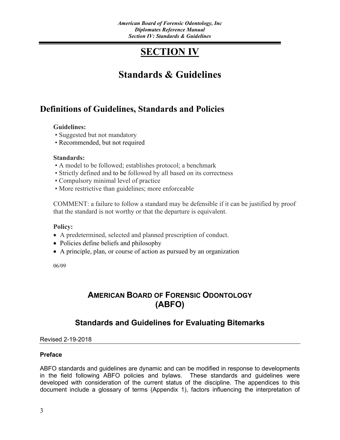## **SECTION IV**

## **Standards & Guidelines**

## **Definitions of Guidelines, Standards and Policies**

#### **Guidelines:**

- Suggested but not mandatory
- Recommended, but not required

#### **Standards:**

- A model to be followed; establishes protocol; a benchmark
- Strictly defined and to be followed by all based on its correctness
- Compulsory minimal level of practice
- More restrictive than guidelines; more enforceable

COMMENT: a failure to follow a standard may be defensible if it can be justified by proof that the standard is not worthy or that the departure is equivalent.

#### **Policy:**

- A predetermined, selected and planned prescription of conduct.
- Policies define beliefs and philosophy
- A principle, plan, or course of action as pursued by an organization

06/09

### **AMERICAN BOARD OF FORENSIC ODONTOLOGY (ABFO)**

### **Standards and Guidelines for Evaluating Bitemarks**

Revised 2-19-2018

#### **Preface**

ABFO standards and guidelines are dynamic and can be modified in response to developments in the field following ABFO policies and bylaws. These standards and guidelines were developed with consideration of the current status of the discipline. The appendices to this document include a glossary of terms (Appendix 1), factors influencing the interpretation of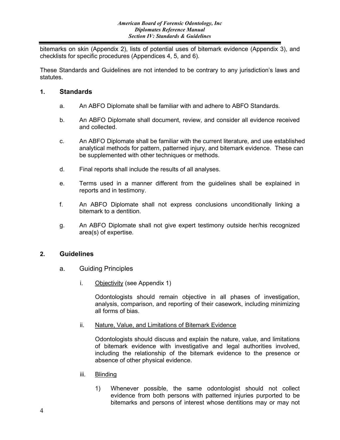bitemarks on skin (Appendix 2), lists of potential uses of bitemark evidence (Appendix 3), and checklists for specific procedures (Appendices 4, 5, and 6).

These Standards and Guidelines are not intended to be contrary to any jurisdiction's laws and statutes.

#### **1. Standards**

- a. An ABFO Diplomate shall be familiar with and adhere to ABFO Standards.
- b. An ABFO Diplomate shall document, review, and consider all evidence received and collected.
- c. An ABFO Diplomate shall be familiar with the current literature, and use established analytical methods for pattern, patterned injury, and bitemark evidence. These can be supplemented with other techniques or methods.
- d. Final reports shall include the results of all analyses.
- e. Terms used in a manner different from the guidelines shall be explained in reports and in testimony.
- f. An ABFO Diplomate shall not express conclusions unconditionally linking a bitemark to a dentition.
- g. An ABFO Diplomate shall not give expert testimony outside her/his recognized area(s) of expertise.

#### **2. Guidelines**

- a. Guiding Principles
	- i. Objectivity (see Appendix 1)

Odontologists should remain objective in all phases of investigation, analysis, comparison, and reporting of their casework, including minimizing all forms of bias.

ii. Nature, Value, and Limitations of Bitemark Evidence

Odontologists should discuss and explain the nature, value, and limitations of bitemark evidence with investigative and legal authorities involved, including the relationship of the bitemark evidence to the presence or absence of other physical evidence.

- iii. Blinding
	- 1) Whenever possible, the same odontologist should not collect evidence from both persons with patterned injuries purported to be bitemarks and persons of interest whose dentitions may or may not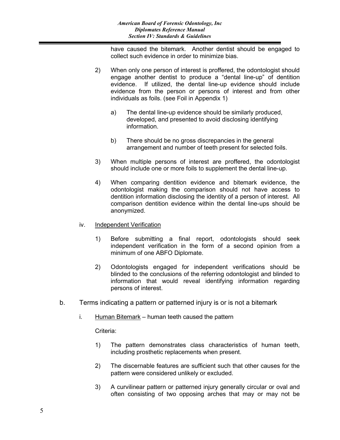have caused the bitemark. Another dentist should be engaged to collect such evidence in order to minimize bias.

- 2) When only one person of interest is proffered, the odontologist should engage another dentist to produce a "dental line-up" of dentition evidence. If utilized, the dental line-up evidence should include evidence from the person or persons of interest and from other individuals as foils. (see Foil in Appendix 1)
	- a) The dental line-up evidence should be similarly produced, developed, and presented to avoid disclosing identifying information.
	- b) There should be no gross discrepancies in the general arrangement and number of teeth present for selected foils.
- 3) When multiple persons of interest are proffered, the odontologist should include one or more foils to supplement the dental line-up.
- 4) When comparing dentition evidence and bitemark evidence, the odontologist making the comparison should not have access to dentition information disclosing the identity of a person of interest. All comparison dentition evidence within the dental line-ups should be anonymized.
- iv. Independent Verification
	- 1) Before submitting a final report, odontologists should seek independent verification in the form of a second opinion from a minimum of one ABFO Diplomate.
	- 2) Odontologists engaged for independent verifications should be blinded to the conclusions of the referring odontologist and blinded to information that would reveal identifying information regarding persons of interest.
- b. Terms indicating a pattern or patterned injury is or is not a bitemark
	- i. Human Bitemark human teeth caused the pattern

Criteria:

- 1) The pattern demonstrates class characteristics of human teeth, including prosthetic replacements when present.
- 2) The discernable features are sufficient such that other causes for the pattern were considered unlikely or excluded.
- 3) A curvilinear pattern or patterned injury generally circular or oval and often consisting of two opposing arches that may or may not be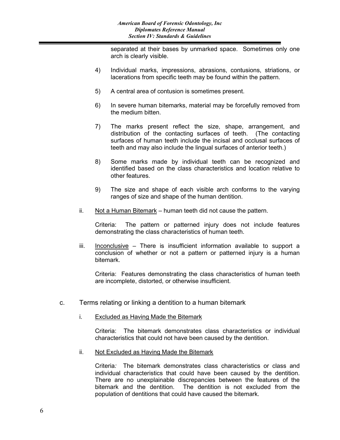separated at their bases by unmarked space. Sometimes only one arch is clearly visible.

- 4) Individual marks, impressions, abrasions, contusions, striations, or lacerations from specific teeth may be found within the pattern.
- 5) A central area of contusion is sometimes present.
- 6) In severe human bitemarks, material may be forcefully removed from the medium bitten.
- 7) The marks present reflect the size, shape, arrangement, and distribution of the contacting surfaces of teeth. (The contacting surfaces of human teeth include the incisal and occlusal surfaces of teeth and may also include the lingual surfaces of anterior teeth.)
- 8) Some marks made by individual teeth can be recognized and identified based on the class characteristics and location relative to other features.
- 9) The size and shape of each visible arch conforms to the varying ranges of size and shape of the human dentition.
- ii. Not a Human Bitemark human teeth did not cause the pattern.

Criteria: The pattern or patterned injury does not include features demonstrating the class characteristics of human teeth.

iii. Inconclusive – There is insufficient information available to support a conclusion of whether or not a pattern or patterned injury is a human bitemark.

Criteria: Features demonstrating the class characteristics of human teeth are incomplete, distorted, or otherwise insufficient.

- c. Terms relating or linking a dentition to a human bitemark
	- i. Excluded as Having Made the Bitemark

Criteria: The bitemark demonstrates class characteristics or individual characteristics that could not have been caused by the dentition.

ii. Not Excluded as Having Made the Bitemark

Criteria*:* The bitemark demonstrates class characteristics or class and individual characteristics that could have been caused by the dentition. There are no unexplainable discrepancies between the features of the bitemark and the dentition. The dentition is not excluded from the population of dentitions that could have caused the bitemark.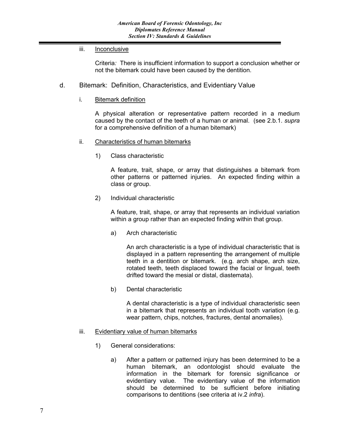#### iii. Inconclusive

Criteria*:* There is insufficient information to support a conclusion whether or not the bitemark could have been caused by the dentition.

#### d. Bitemark: Definition, Characteristics, and Evidentiary Value

#### i. Bitemark definition

A physical alteration or representative pattern recorded in a medium caused by the contact of the teeth of a human or animal. (see 2.b.1. *supra*  for a comprehensive definition of a human bitemark)

#### ii. Characteristics of human bitemarks

1) Class characteristic

A feature, trait, shape, or array that distinguishes a bitemark from other patterns or patterned injuries. An expected finding within a class or group.

2) Individual characteristic

A feature, trait, shape, or array that represents an individual variation within a group rather than an expected finding within that group.

a) Arch characteristic

An arch characteristic is a type of individual characteristic that is displayed in a pattern representing the arrangement of multiple teeth in a dentition or bitemark. (e.g. arch shape, arch size, rotated teeth, teeth displaced toward the facial or lingual, teeth drifted toward the mesial or distal, diastemata).

b) Dental characteristic

A dental characteristic is a type of individual characteristic seen in a bitemark that represents an individual tooth variation (e.g. wear pattern, chips, notches, fractures, dental anomalies).

#### iii. Evidentiary value of human bitemarks

- 1) General considerations:
	- a) After a pattern or patterned injury has been determined to be a human bitemark, an odontologist should evaluate the information in the bitemark for forensic significance or evidentiary value. The evidentiary value of the information should be determined to be sufficient before initiating comparisons to dentitions (see criteria at iv.2 *infra*).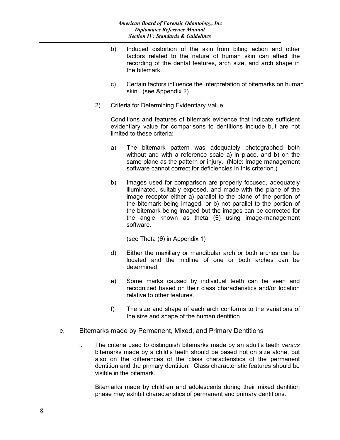- b) Induced distortion of the skin from biting action and other factors related to the nature of human skin can affect the recording of the dental features, arch size, and arch shape in the bitemark.
- c) Certain factors influence the interpretation of bitemarks on human skin. (see Appendix 2)
- 2) Criteria for Determining Evidentiary Value

Conditions and features of bitemark evidence that indicate sufficient evidentiary value for comparisons to dentitions include but are not limited to these criteria:

- a) The bitemark pattern was adequately photographed both without and with a reference scale a) in place, and b) on the same plane as the pattern or injury. (Note: Image management software cannot correct for deficiencies in this criterion.)
- b) Images used for comparison are properly focused, adequately illuminated, suitably exposed, and made with the plane of the image receptor either a) parallel to the plane of the portion of the bitemark being imaged, or b) not parallel to the portion of the bitemark being imaged but the images can be corrected for the angle known as theta (θ) using image-management software.

(see Theta (θ) in Appendix 1)

- d) Either the maxillary or mandibular arch or both arches can be located and the midline of one or both arches can be determined.
- e) Some marks caused by individual teeth can be seen and recognized based on their class characteristics and/or location relative to other features.
- f) The size and shape of each arch conforms to the variations of the size and shape of the human dentition.
- e. Bitemarks made by Permanent, Mixed, and Primary Dentitions
	- i. The criteria used to distinguish bitemarks made by an adult's teeth *versus*  bitemarks made by a child's teeth should be based not on size alone, but also on the differences of the class characteristics of the permanent dentition and the primary dentition. Class characteristic features should be visible in the bitemark.

Bitemarks made by children and adolescents during their mixed dentition phase may exhibit characteristics of permanent and primary dentitions.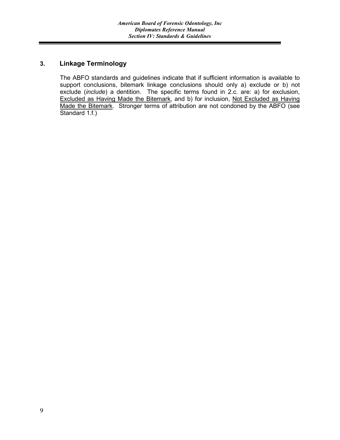#### **3. Linkage Terminology**

The ABFO standards and guidelines indicate that if sufficient information is available to support conclusions, bitemark linkage conclusions should only a) exclude or b) not exclude (*include*) a dentition. The specific terms found in 2.c. are: a) for exclusion, Excluded as Having Made the Bitemark, and b) for inclusion, Not Excluded as Having Made the Bitemark. Stronger terms of attribution are not condoned by the ABFO (see Standard 1.f.)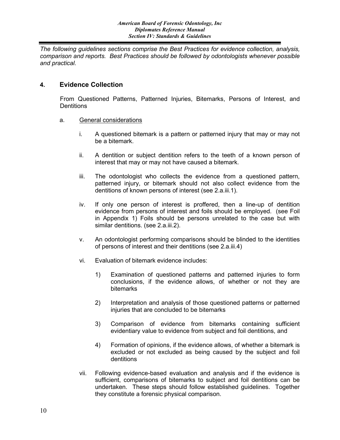*The following guidelines sections comprise the Best Practices for evidence collection, analysis, comparison and reports. Best Practices should be followed by odontologists whenever possible and practical.*

#### **4. Evidence Collection**

From Questioned Patterns, Patterned Injuries, Bitemarks, Persons of Interest, and **Dentitions** 

- a. General considerations
	- i. A questioned bitemark is a pattern or patterned injury that may or may not be a bitemark.
	- ii. A dentition or subject dentition refers to the teeth of a known person of interest that may or may not have caused a bitemark.
	- iii. The odontologist who collects the evidence from a questioned pattern, patterned injury, or bitemark should not also collect evidence from the dentitions of known persons of interest (see 2.a.iii.1).
	- iv. If only one person of interest is proffered, then a line-up of dentition evidence from persons of interest and foils should be employed. (see Foil in Appendix 1) Foils should be persons unrelated to the case but with similar dentitions. (see 2.a.iii.2).
	- v. An odontologist performing comparisons should be blinded to the identities of persons of interest and their dentitions (see 2.a.iii.4)
	- vi. Evaluation of bitemark evidence includes:
		- 1) Examination of questioned patterns and patterned injuries to form conclusions, if the evidence allows, of whether or not they are bitemarks
		- 2) Interpretation and analysis of those questioned patterns or patterned injuries that are concluded to be bitemarks
		- 3) Comparison of evidence from bitemarks containing sufficient evidentiary value to evidence from subject and foil dentitions, and
		- 4) Formation of opinions, if the evidence allows, of whether a bitemark is excluded or not excluded as being caused by the subject and foil dentitions
	- vii. Following evidence-based evaluation and analysis and if the evidence is sufficient, comparisons of bitemarks to subject and foil dentitions can be undertaken. These steps should follow established guidelines. Together they constitute a forensic physical comparison.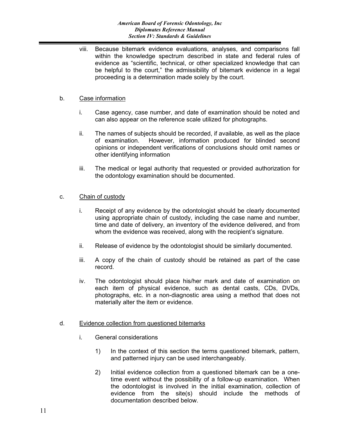viii. Because bitemark evidence evaluations, analyses, and comparisons fall within the knowledge spectrum described in state and federal rules of evidence as "scientific, technical, or other specialized knowledge that can be helpful to the court," the admissibility of bitemark evidence in a legal proceeding is a determination made solely by the court.

#### b. Case information

- i. Case agency, case number, and date of examination should be noted and can also appear on the reference scale utilized for photographs.
- ii. The names of subjects should be recorded, if available, as well as the place of examination. However, information produced for blinded second opinions or independent verifications of conclusions should omit names or other identifying information
- iii. The medical or legal authority that requested or provided authorization for the odontology examination should be documented.

#### c. Chain of custody

- i. Receipt of any evidence by the odontologist should be clearly documented using appropriate chain of custody, including the case name and number, time and date of delivery, an inventory of the evidence delivered, and from whom the evidence was received, along with the recipient's signature.
- ii. Release of evidence by the odontologist should be similarly documented.
- iii. A copy of the chain of custody should be retained as part of the case record.
- iv. The odontologist should place his/her mark and date of examination on each item of physical evidence, such as dental casts, CDs, DVDs, photographs, etc. in a non-diagnostic area using a method that does not materially alter the item or evidence.

#### d. Evidence collection from questioned bitemarks

- i. General considerations
	- 1) In the context of this section the terms questioned bitemark, pattern, and patterned injury can be used interchangeably.
	- 2) Initial evidence collection from a questioned bitemark can be a onetime event without the possibility of a follow-up examination. When the odontologist is involved in the initial examination, collection of evidence from the site(s) should include the methods of documentation described below.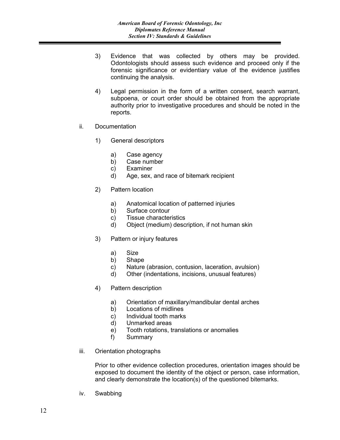- 3) Evidence that was collected by others may be provided. Odontologists should assess such evidence and proceed only if the forensic significance or evidentiary value of the evidence justifies continuing the analysis.
- 4) Legal permission in the form of a written consent, search warrant, subpoena, or court order should be obtained from the appropriate authority prior to investigative procedures and should be noted in the reports.
- ii. Documentation
	- 1) General descriptors
		- a) Case agency
		- b) Case number
		- c) Examiner
		- d) Age, sex, and race of bitemark recipient
	- 2) Pattern location
		- a) Anatomical location of patterned injuries
		- b) Surface contour
		- c) Tissue characteristics
		- d) Object (medium) description, if not human skin
	- 3) Pattern or injury features
		- a) Size
		- b) Shape
		- c) Nature (abrasion, contusion, laceration, avulsion)
		- d) Other (indentations, incisions, unusual features)
	- 4) Pattern description
		- a) Orientation of maxillary/mandibular dental arches
		- b) Locations of midlines
		- c) Individual tooth marks
		- d) Unmarked areas
		- e) Tooth rotations, translations or anomalies
		- f) Summary
- iii. Orientation photographs

Prior to other evidence collection procedures, orientation images should be exposed to document the identity of the object or person, case information, and clearly demonstrate the location(s) of the questioned bitemarks.

iv. Swabbing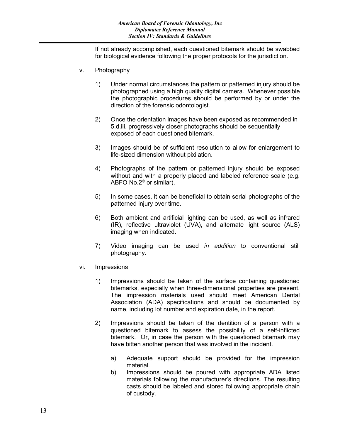If not already accomplished, each questioned bitemark should be swabbed for biological evidence following the proper protocols for the jurisdiction.

- v. Photography
	- 1) Under normal circumstances the pattern or patterned injury should be photographed using a high quality digital camera. Whenever possible the photographic procedures should be performed by or under the direction of the forensic odontologist.
	- 2) Once the orientation images have been exposed as recommended in 5.d.iii. progressively closer photographs should be sequentially exposed of each questioned bitemark.
	- 3) Images should be of sufficient resolution to allow for enlargement to life-sized dimension without pixilation.
	- 4) Photographs of the pattern or patterned injury should be exposed without and with a properly placed and labeled reference scale (e.g. ABFO No.2© or similar).
	- 5) In some cases, it can be beneficial to obtain serial photographs of the patterned injury over time.
	- 6) Both ambient and artificial lighting can be used, as well as infrared (IR), reflective ultraviolet (UVA)**,** and alternate light source (ALS) imaging when indicated.
	- 7) Video imaging can be used *in addition* to conventional still photography.
- vi. Impressions
	- 1) Impressions should be taken of the surface containing questioned bitemarks, especially when three-dimensional properties are present. The impression materials used should meet American Dental Association (ADA) specifications and should be documented by name, including lot number and expiration date, in the report.
	- 2) Impressions should be taken of the dentition of a person with a questioned bitemark to assess the possibility of a self-inflicted bitemark. Or, in case the person with the questioned bitemark may have bitten another person that was involved in the incident.
		- a) Adequate support should be provided for the impression material.
		- b) Impressions should be poured with appropriate ADA listed materials following the manufacturer's directions. The resulting casts should be labeled and stored following appropriate chain of custody.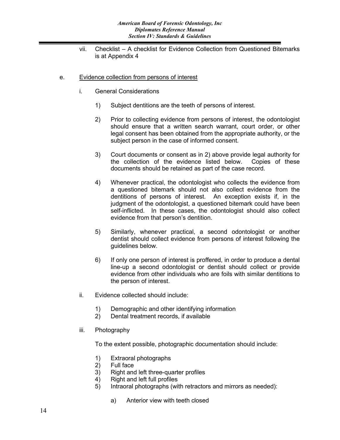- vii. Checklist A checklist for Evidence Collection from Questioned Bitemarks is at Appendix 4
- e. Evidence collection from persons of interest
	- i. General Considerations
		- 1) Subject dentitions are the teeth of persons of interest.
		- 2) Prior to collecting evidence from persons of interest, the odontologist should ensure that a written search warrant, court order, or other legal consent has been obtained from the appropriate authority, or the subject person in the case of informed consent.
		- 3) Court documents or consent as in 2) above provide legal authority for the collection of the evidence listed below. Copies of these documents should be retained as part of the case record.
		- 4) Whenever practical, the odontologist who collects the evidence from a questioned bitemark should not also collect evidence from the dentitions of persons of interest. An exception exists if, in the judgment of the odontologist, a questioned bitemark could have been self-inflicted. In these cases, the odontologist should also collect evidence from that person's dentition.
		- 5) Similarly, whenever practical, a second odontologist or another dentist should collect evidence from persons of interest following the guidelines below.
		- 6) If only one person of interest is proffered, in order to produce a dental line-up a second odontologist or dentist should collect or provide evidence from other individuals who are foils with similar dentitions to the person of interest.
	- ii. Evidence collected should include:
		- 1) Demographic and other identifying information
		- 2) Dental treatment records, if available
	- iii. Photography

To the extent possible, photographic documentation should include:

- 1) Extraoral photographs
- 2) Full face
- 3) Right and left three-quarter profiles
- 4) Right and left full profiles<br>5) Intraoral photographs (wi
- Intraoral photographs (with retractors and mirrors as needed):
	- a) Anterior view with teeth closed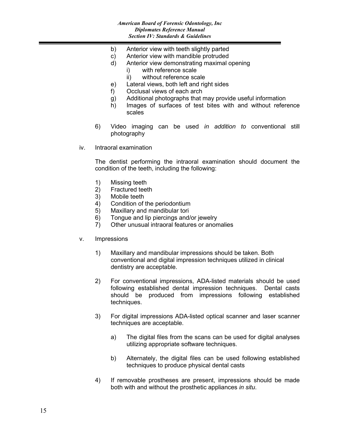- b) Anterior view with teeth slightly parted
- c) Anterior view with mandible protruded
- d) Anterior view demonstrating maximal opening
	- i) with reference scale
		- ii) without reference scale
- e) Lateral views, both left and right sides
- f) Occlusal views of each arch
- g) Additional photographs that may provide useful information
- h) Images of surfaces of test bites with and without reference scales
- 6) Video imaging can be used *in addition to* conventional still photography
- iv. Intraoral examination

The dentist performing the intraoral examination should document the condition of the teeth, including the following:

- 1) Missing teeth
- 2) Fractured teeth
- 3) Mobile teeth
- 4) Condition of the periodontium
- 5) Maxillary and mandibular tori
- 6) Tongue and lip piercings and/or jewelry
- 7) Other unusual intraoral features or anomalies
- v. Impressions
	- 1) Maxillary and mandibular impressions should be taken. Both conventional and digital impression techniques utilized in clinical dentistry are acceptable.
	- 2) For conventional impressions, ADA-listed materials should be used following established dental impression techniques. Dental casts should be produced from impressions following established techniques.
	- 3) For digital impressions ADA-listed optical scanner and laser scanner techniques are acceptable.
		- a) The digital files from the scans can be used for digital analyses utilizing appropriate software techniques.
		- b) Alternately, the digital files can be used following established techniques to produce physical dental casts
	- 4) If removable prostheses are present, impressions should be made both with and without the prosthetic appliances *in situ*.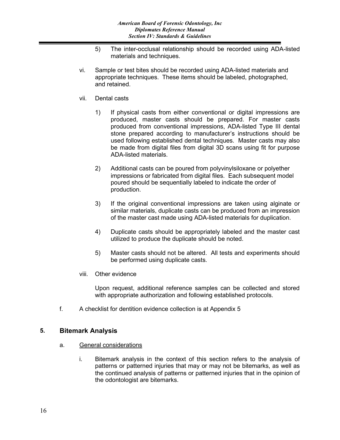- 5) The inter-occlusal relationship should be recorded using ADA-listed materials and techniques.
- vi. Sample or test bites should be recorded using ADA-listed materials and appropriate techniques. These items should be labeled, photographed, and retained.
- vii. Dental casts
	- 1) If physical casts from either conventional or digital impressions are produced, master casts should be prepared. For master casts produced from conventional impressions, ADA-listed Type III dental stone prepared according to manufacturer's instructions should be used following established dental techniques. Master casts may also be made from digital files from digital 3D scans using fit for purpose ADA-listed materials.
	- 2) Additional casts can be poured from polyvinylsiloxane or polyether impressions or fabricated from digital files. Each subsequent model poured should be sequentially labeled to indicate the order of production.
	- 3) If the original conventional impressions are taken using alginate or similar materials, duplicate casts can be produced from an impression of the master cast made using ADA-listed materials for duplication.
	- 4) Duplicate casts should be appropriately labeled and the master cast utilized to produce the duplicate should be noted.
	- 5) Master casts should not be altered. All tests and experiments should be performed using duplicate casts.
- viii. Other evidence

Upon request, additional reference samples can be collected and stored with appropriate authorization and following established protocols.

f. A checklist for dentition evidence collection is at Appendix 5

#### **5. Bitemark Analysis**

- a. General considerations
	- i. Bitemark analysis in the context of this section refers to the analysis of patterns or patterned injuries that may or may not be bitemarks, as well as the continued analysis of patterns or patterned injuries that in the opinion of the odontologist are bitemarks.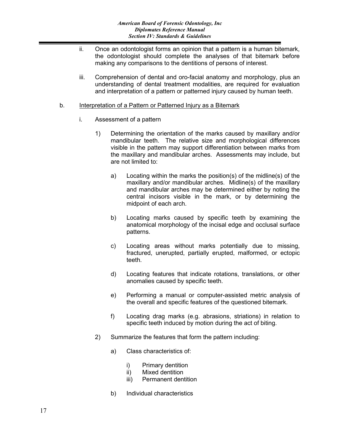- ii. Once an odontologist forms an opinion that a pattern is a human bitemark, the odontologist should complete the analyses of that bitemark before making any comparisons to the dentitions of persons of interest.
- iii. Comprehension of dental and oro-facial anatomy and morphology, plus an understanding of dental treatment modalities, are required for evaluation and interpretation of a pattern or patterned injury caused by human teeth.

#### b. Interpretation of a Pattern or Patterned Injury as a Bitemark

- i. Assessment of a pattern
	- 1) Determining the orientation of the marks caused by maxillary and/or mandibular teeth. The relative size and morphological differences visible in the pattern may support differentiation between marks from the maxillary and mandibular arches. Assessments may include, but are not limited to:
		- a) Locating within the marks the position(s) of the midline(s) of the maxillary and/or mandibular arches. Midline(s) of the maxillary and mandibular arches may be determined either by noting the central incisors visible in the mark, or by determining the midpoint of each arch.
		- b) Locating marks caused by specific teeth by examining the anatomical morphology of the incisal edge and occlusal surface patterns.
		- c) Locating areas without marks potentially due to missing, fractured, unerupted, partially erupted, malformed, or ectopic teeth.
		- d) Locating features that indicate rotations, translations, or other anomalies caused by specific teeth.
		- e) Performing a manual or computer-assisted metric analysis of the overall and specific features of the questioned bitemark.
		- f) Locating drag marks (e.g. abrasions, striations) in relation to specific teeth induced by motion during the act of biting.
	- 2) Summarize the features that form the pattern including:
		- a) Class characteristics of:
			- i) Primary dentition
			- ii) Mixed dentition
			- iii) Permanent dentition
		- b) Individual characteristics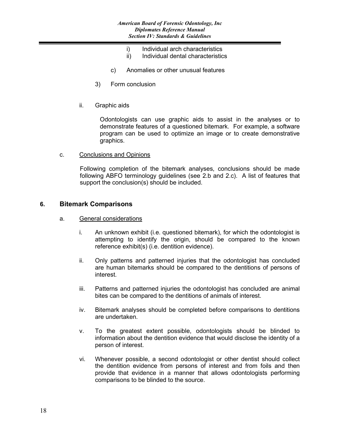- i) Individual arch characteristics<br>ii) Individual dental characteristic
- Individual dental characteristics
- c) Anomalies or other unusual features
- 3) Form conclusion
- ii. Graphic aids

Odontologists can use graphic aids to assist in the analyses or to demonstrate features of a questioned bitemark. For example, a software program can be used to optimize an image or to create demonstrative graphics.

c. Conclusions and Opinions

Following completion of the bitemark analyses, conclusions should be made following ABFO terminology guidelines (see 2.b and 2.c). A list of features that support the conclusion(s) should be included.

#### **6. Bitemark Comparisons**

- a. General considerations
	- i. An unknown exhibit (i.e. questioned bitemark), for which the odontologist is attempting to identify the origin, should be compared to the known reference exhibit(s) (i.e. dentition evidence).
	- ii. Only patterns and patterned injuries that the odontologist has concluded are human bitemarks should be compared to the dentitions of persons of interest.
	- iii. Patterns and patterned injuries the odontologist has concluded are animal bites can be compared to the dentitions of animals of interest.
	- iv. Bitemark analyses should be completed before comparisons to dentitions are undertaken.
	- v. To the greatest extent possible, odontologists should be blinded to information about the dentition evidence that would disclose the identity of a person of interest.
	- vi. Whenever possible, a second odontologist or other dentist should collect the dentition evidence from persons of interest and from foils and then provide that evidence in a manner that allows odontologists performing comparisons to be blinded to the source.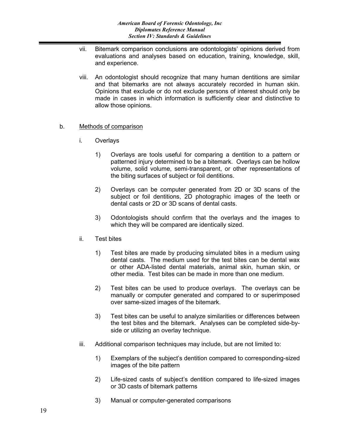- vii. Bitemark comparison conclusions are odontologists' opinions derived from evaluations and analyses based on education, training, knowledge, skill, and experience.
- viii. An odontologist should recognize that many human dentitions are similar and that bitemarks are not always accurately recorded in human skin. Opinions that exclude or do not exclude persons of interest should only be made in cases in which information is sufficiently clear and distinctive to allow those opinions.

#### b. Methods of comparison

- i. Overlays
	- 1) Overlays are tools useful for comparing a dentition to a pattern or patterned injury determined to be a bitemark. Overlays can be hollow volume, solid volume, semi-transparent, or other representations of the biting surfaces of subject or foil dentitions.
	- 2) Overlays can be computer generated from 2D or 3D scans of the subject or foil dentitions, 2D photographic images of the teeth or dental casts or 2D or 3D scans of dental casts.
	- 3) Odontologists should confirm that the overlays and the images to which they will be compared are identically sized.
- ii. Test bites
	- 1) Test bites are made by producing simulated bites in a medium using dental casts. The medium used for the test bites can be dental wax or other ADA-listed dental materials, animal skin, human skin, or other media. Test bites can be made in more than one medium.
	- 2) Test bites can be used to produce overlays. The overlays can be manually or computer generated and compared to or superimposed over same-sized images of the bitemark.
	- 3) Test bites can be useful to analyze similarities or differences between the test bites and the bitemark. Analyses can be completed side-byside or utilizing an overlay technique.
- iii. Additional comparison techniques may include, but are not limited to:
	- 1) Exemplars of the subject's dentition compared to corresponding-sized images of the bite pattern
	- 2) Life-sized casts of subject's dentition compared to life-sized images or 3D casts of bitemark patterns
	- 3) Manual or computer-generated comparisons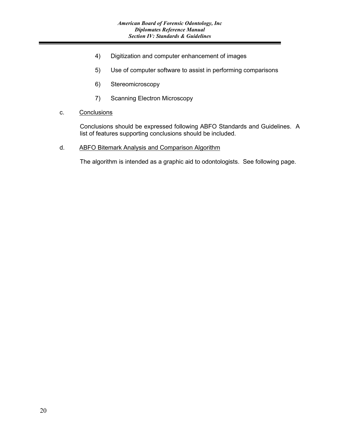- 4) Digitization and computer enhancement of images
- 5) Use of computer software to assist in performing comparisons
- 6) Stereomicroscopy
- 7) Scanning Electron Microscopy
- c. Conclusions

Conclusions should be expressed following ABFO Standards and Guidelines. A list of features supporting conclusions should be included.

d. ABFO Bitemark Analysis and Comparison Algorithm

The algorithm is intended as a graphic aid to odontologists. See following page.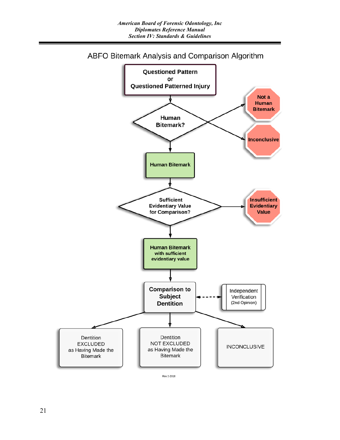

ABFO Bitemark Analysis and Comparison Algorithm

Rev 2-2018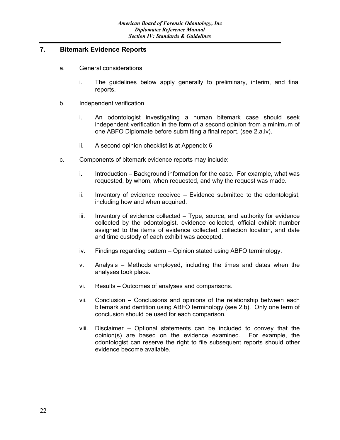#### **7. Bitemark Evidence Reports**

- a. General considerations
	- i. The guidelines below apply generally to preliminary, interim, and final reports.
- b. Independent verification
	- i. An odontologist investigating a human bitemark case should seek independent verification in the form of a second opinion from a minimum of one ABFO Diplomate before submitting a final report. (see 2.a.iv).
	- ii. A second opinion checklist is at Appendix 6
- c. Components of bitemark evidence reports may include:
	- i. Introduction Background information for the case. For example, what was requested, by whom, when requested, and why the request was made.
	- ii. Inventory of evidence received Evidence submitted to the odontologist, including how and when acquired.
	- iii. Inventory of evidence collected Type, source, and authority for evidence collected by the odontologist, evidence collected, official exhibit number assigned to the items of evidence collected, collection location, and date and time custody of each exhibit was accepted.
	- iv. Findings regarding pattern Opinion stated using ABFO terminology.
	- v. Analysis Methods employed, including the times and dates when the analyses took place.
	- vi. Results Outcomes of analyses and comparisons.
	- vii. Conclusion Conclusions and opinions of the relationship between each bitemark and dentition using ABFO terminology (see 2.b). Only one term of conclusion should be used for each comparison.
	- viii. Disclaimer Optional statements can be included to convey that the opinion(s) are based on the evidence examined. For example, the odontologist can reserve the right to file subsequent reports should other evidence become available.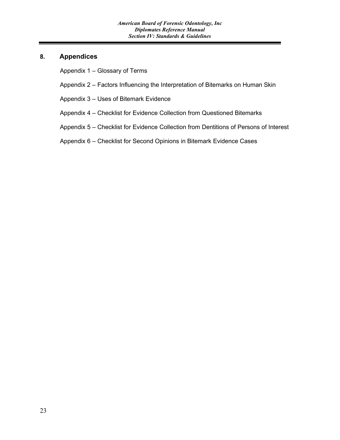#### **8. Appendices**

Appendix 1 – Glossary of Terms

- Appendix 2 Factors Influencing the Interpretation of Bitemarks on Human Skin
- Appendix 3 Uses of Bitemark Evidence
- Appendix 4 Checklist for Evidence Collection from Questioned Bitemarks
- Appendix 5 Checklist for Evidence Collection from Dentitions of Persons of Interest
- Appendix 6 Checklist for Second Opinions in Bitemark Evidence Cases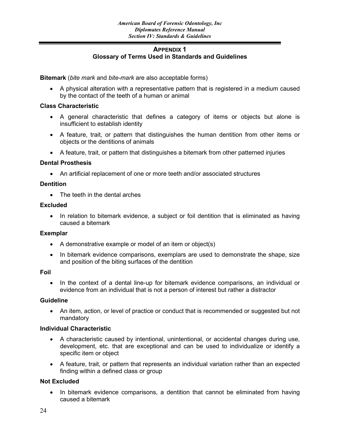#### **APPENDIX 1 Glossary of Terms Used in Standards and Guidelines**

**Bitemark** (*bite mark* and *bite-mark* are also acceptable forms)

• A physical alteration with a representative pattern that is registered in a medium caused by the contact of the teeth of a human or animal

#### **Class Characteristic**

- A general characteristic that defines a category of items or objects but alone is insufficient to establish identity
- A feature, trait, or pattern that distinguishes the human dentition from other items or objects or the dentitions of animals
- A feature, trait, or pattern that distinguishes a bitemark from other patterned injuries

#### **Dental Prosthesis**

• An artificial replacement of one or more teeth and/or associated structures

#### **Dentition**

• The teeth in the dental arches

#### **Excluded**

• In relation to bitemark evidence, a subject or foil dentition that is eliminated as having caused a bitemark

#### **Exemplar**

- A demonstrative example or model of an item or object(s)
- In bitemark evidence comparisons, exemplars are used to demonstrate the shape, size and position of the biting surfaces of the dentition

#### **Foil**

• In the context of a dental line-up for bitemark evidence comparisons, an individual or evidence from an individual that is not a person of interest but rather a distractor

#### **Guideline**

• An item, action, or level of practice or conduct that is recommended or suggested but not mandatory

#### **Individual Characteristic**

- A characteristic caused by intentional, unintentional, or accidental changes during use, development, etc. that are exceptional and can be used to individualize or identify a specific item or object
- A feature, trait, or pattern that represents an individual variation rather than an expected finding within a defined class or group

#### **Not Excluded**

• In bitemark evidence comparisons, a dentition that cannot be eliminated from having caused a bitemark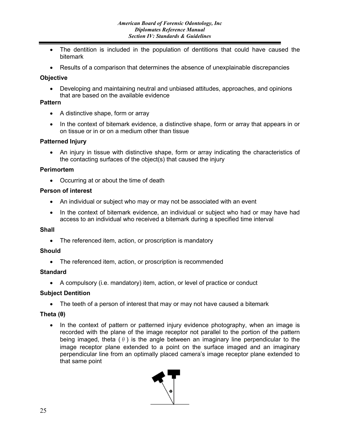- The dentition is included in the population of dentitions that could have caused the bitemark
- Results of a comparison that determines the absence of unexplainable discrepancies

#### **Objective**

• Developing and maintaining neutral and unbiased attitudes, approaches, and opinions that are based on the available evidence

#### **Pattern**

- A distinctive shape, form or array
- In the context of bitemark evidence, a distinctive shape, form or array that appears in or on tissue or in or on a medium other than tissue

#### **Patterned Injury**

• An injury in tissue with distinctive shape, form or array indicating the characteristics of the contacting surfaces of the object(s) that caused the injury

#### **Perimortem**

• Occurring at or about the time of death

#### **Person of interest**

- An individual or subject who may or may not be associated with an event
- In the context of bitemark evidence, an individual or subject who had or may have had access to an individual who received a bitemark during a specified time interval

#### **Shall**

• The referenced item, action, or proscription is mandatory

#### **Should**

• The referenced item, action, or proscription is recommended

#### **Standard**

• A compulsory (i.e. mandatory) item, action, or level of practice or conduct

#### **Subject Dentition**

• The teeth of a person of interest that may or may not have caused a bitemark

#### **Theta (θ)**

• In the context of pattern or patterned injury evidence photography, when an image is recorded with the plane of the image receptor not parallel to the portion of the pattern being imaged, theta  $(\theta)$  is the angle between an imaginary line perpendicular to the image receptor plane extended to a point on the surface imaged and an imaginary perpendicular line from an optimally placed camera's image receptor plane extended to that same point

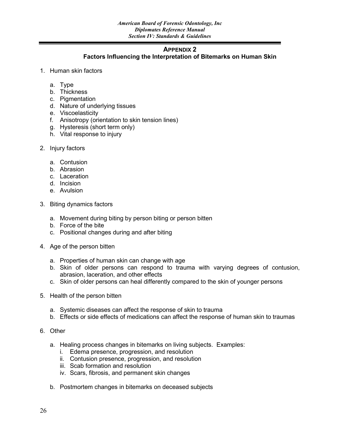#### **APPENDIX 2**

#### **Factors Influencing the Interpretation of Bitemarks on Human Skin**

- 1. Human skin factors
	- a. Type
	- b. Thickness
	- c. Pigmentation
	- d. Nature of underlying tissues
	- e. Viscoelasticity
	- f. Anisotropy (orientation to skin tension lines)
	- g. Hysteresis (short term only)
	- h. Vital response to injury
- 2. Injury factors
	- a. Contusion
	- b. Abrasion
	- c. Laceration
	- d. Incision
	- e. Avulsion
- 3. Biting dynamics factors
	- a. Movement during biting by person biting or person bitten
	- b. Force of the bite
	- c. Positional changes during and after biting
- 4. Age of the person bitten
	- a. Properties of human skin can change with age
	- b. Skin of older persons can respond to trauma with varying degrees of contusion, abrasion, laceration, and other effects
	- c. Skin of older persons can heal differently compared to the skin of younger persons
- 5. Health of the person bitten
	- a. Systemic diseases can affect the response of skin to trauma
	- b. Effects or side effects of medications can affect the response of human skin to traumas
- 6. Other
	- a. Healing process changes in bitemarks on living subjects. Examples:
		- i. Edema presence, progression, and resolution
		- ii. Contusion presence, progression, and resolution
		- iii. Scab formation and resolution
		- iv. Scars, fibrosis, and permanent skin changes
	- b. Postmortem changes in bitemarks on deceased subjects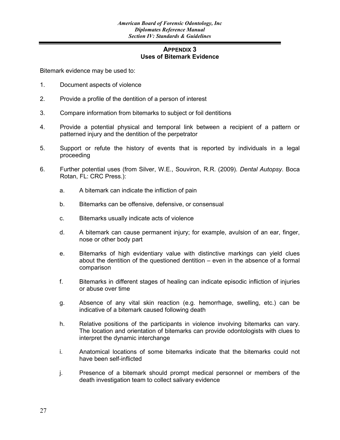#### **APPENDIX 3 Uses of Bitemark Evidence**

Bitemark evidence may be used to:

- 1. Document aspects of violence
- 2. Provide a profile of the dentition of a person of interest
- 3. Compare information from bitemarks to subject or foil dentitions
- 4. Provide a potential physical and temporal link between a recipient of a pattern or patterned injury and the dentition of the perpetrator
- 5. Support or refute the history of events that is reported by individuals in a legal proceeding
- 6. Further potential uses (from Silver, W.E., Souviron, R.R. (2009). *Dental Autopsy*. Boca Rotan, FL: CRC Press.):
	- a. A bitemark can indicate the infliction of pain
	- b. Bitemarks can be offensive, defensive, or consensual
	- c. Bitemarks usually indicate acts of violence
	- d. A bitemark can cause permanent injury; for example, avulsion of an ear, finger, nose or other body part
	- e. Bitemarks of high evidentiary value with distinctive markings can yield clues about the dentition of the questioned dentition – even in the absence of a formal comparison
	- f. Bitemarks in different stages of healing can indicate episodic infliction of injuries or abuse over time
	- g. Absence of any vital skin reaction (e.g. hemorrhage, swelling, etc.) can be indicative of a bitemark caused following death
	- h. Relative positions of the participants in violence involving bitemarks can vary. The location and orientation of bitemarks can provide odontologists with clues to interpret the dynamic interchange
	- i. Anatomical locations of some bitemarks indicate that the bitemarks could not have been self-inflicted
	- j. Presence of a bitemark should prompt medical personnel or members of the death investigation team to collect salivary evidence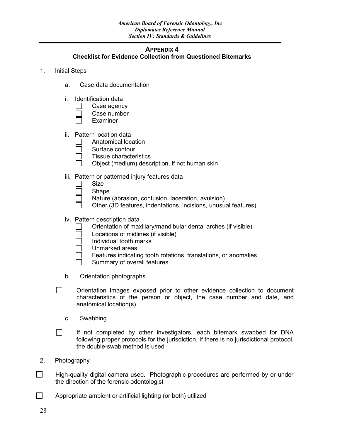#### **APPENDIX 4**

#### **Checklist for Evidence Collection from Questioned Bitemarks**

- 1. Initial Steps
	- a. Case data documentation
	- i. Identification data
		- Case agency
		- Case number
		- Examiner
	- ii. Pattern location data
		- Anatomical location
		- Surface contour
		- Tissue characteristics
		- Object (medium) description, if not human skin
	- iii. Pattern or patterned injury features data
		- Size
		- Shape
		- Nature (abrasion, contusion, laceration, avulsion)
		- Other (3D features, indentations, incisions, unusual features)
	- iv. Pattern description data
		- Orientation of maxillary/mandibular dental arches (if visible)
		- Locations of midlines (if visible)
		- Individual tooth marks
		- Unmarked areas
			- Features indicating tooth rotations, translations, or anomalies
			- Summary of overall features
	- b. Orientation photographs
	- $\Box$ Orientation images exposed prior to other evidence collection to document characteristics of the person or object, the case number and date, and anatomical location(s)
		- c. Swabbing
	- $\Box$ If not completed by other investigators, each bitemark swabbed for DNA following proper protocols for the jurisdiction. If there is no jurisdictional protocol, the double-swab method is used
- 2. Photography
- $\Box$ High-quality digital camera used. Photographic procedures are performed by or under the direction of the forensic odontologist
- $\Box$ Appropriate ambient or artificial lighting (or both) utilized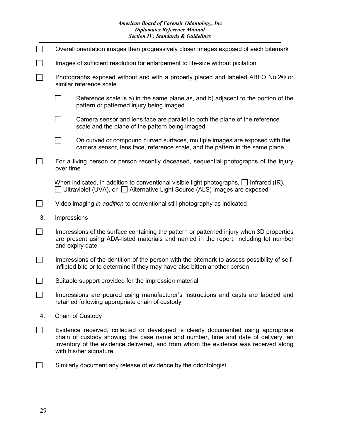#### *American Board of Forensic Odontology, Inc Diplomates Reference Manual Section IV: Standards & Guidelines*

|    | Overall orientation images then progressively closer images exposed of each bitemark                                                                                                                                                                                                  |  |
|----|---------------------------------------------------------------------------------------------------------------------------------------------------------------------------------------------------------------------------------------------------------------------------------------|--|
|    | Images of sufficient resolution for enlargement to life-size without pixilation                                                                                                                                                                                                       |  |
|    | Photographs exposed without and with a properly placed and labeled ABFO No.2 <sup>©</sup> or<br>similar reference scale                                                                                                                                                               |  |
|    | Reference scale is a) in the same plane as, and b) adjacent to the portion of the<br>pattern or patterned injury being imaged                                                                                                                                                         |  |
|    | Camera sensor and lens face are parallel to both the plane of the reference<br>scale and the plane of the pattern being imaged                                                                                                                                                        |  |
|    | On curved or compound curved surfaces, multiple images are exposed with the<br>camera sensor, lens face, reference scale, and the pattern in the same plane                                                                                                                           |  |
|    | For a living person or person recently deceased, sequential photographs of the injury<br>over time                                                                                                                                                                                    |  |
|    | When indicated, in addition to conventional visible light photographs, $\Box$ Infrared (IR),<br>Ultraviolet (UVA), or □ Alternative Light Source (ALS) images are exposed                                                                                                             |  |
|    | Video imaging in addition to conventional still photography as indicated                                                                                                                                                                                                              |  |
| 3. | Impressions                                                                                                                                                                                                                                                                           |  |
|    | Impressions of the surface containing the pattern or patterned injury when 3D properties<br>are present using ADA-listed materials and named in the report, including lot number<br>and expiry date                                                                                   |  |
|    | Impressions of the dentition of the person with the bitemark to assess possibility of self-<br>inflicted bite or to determine if they may have also bitten another person                                                                                                             |  |
|    | Suitable support provided for the impression material                                                                                                                                                                                                                                 |  |
|    | Impressions are poured using manufacturer's instructions and casts are labeled and<br>retained following appropriate chain of custody                                                                                                                                                 |  |
| 4. | Chain of Custody                                                                                                                                                                                                                                                                      |  |
|    | Evidence received, collected or developed is clearly documented using appropriate<br>chain of custody showing the case name and number, time and date of delivery, an<br>inventory of the evidence delivered, and from whom the evidence was received along<br>with his/her signature |  |
|    | Similarly document any release of evidence by the odontologist                                                                                                                                                                                                                        |  |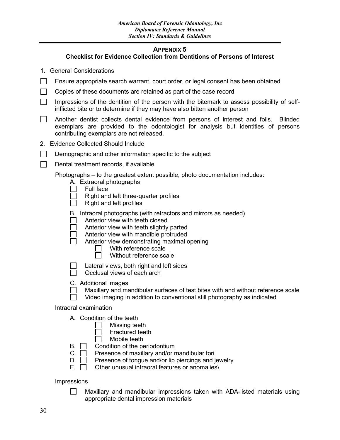#### **APPENDIX 5**

#### **Checklist for Evidence Collection from Dentitions of Persons of Interest**

- 1. General Considerations
- $\Box$ Ensure appropriate search warrant, court order, or legal consent has been obtained
- $\Box$ Copies of these documents are retained as part of the case record
- Impressions of the dentition of the person with the bitemark to assess possibility of self- $\mathbb{R}^n$ inflicted bite or to determine if they may have also bitten another person
- $\Box$ Another dentist collects dental evidence from persons of interest and foils. Blinded exemplars are provided to the odontologist for analysis but identities of persons contributing exemplars are not released.
- 2. Evidence Collected Should Include
- $\Box$ Demographic and other information specific to the subject
- $\Box$ Dental treatment records, if available

Photographs – to the greatest extent possible, photo documentation includes:

- A. Extraoral photographs
- $\Box$ Full face
	- Right and left three-quarter profiles
	- Right and left profiles
- B. Intraoral photographs (with retractors and mirrors as needed)
- Anterior view with teeth closed
- Anterior view with teeth slightly parted
- Anterior view with mandible protruded
- Anterior view demonstrating maximal opening
	- With reference scale
	- $\Box$ Without reference scale
	- Lateral views, both right and left sides
		- Occlusal views of each arch
- C. Additional images
	- Maxillary and mandibular surfaces of test bites with and without reference scale
	- Video imaging in addition to conventional still photography as indicated

Intraoral examination

- A. Condition of the teeth
	- Missing teeth
	- Fractured teeth
	- Mobile teeth
- $\mathsf{B}$ .  $\Box$  Condition of the periodontium
- $C.$  Presence of maxillary and/or mandibular tori
- $D.$  Presence of tongue and/or lip piercings and jewelry
- $E. \Box$  Other unusual intraoral features or anomalies

Impressions

 $\Box$ 

Maxillary and mandibular impressions taken with ADA-listed materials using appropriate dental impression materials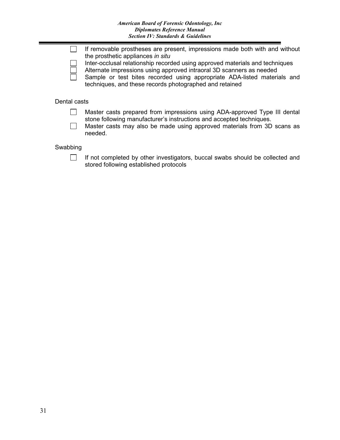|              | If removable prostheses are present, impressions made both with and without<br>the prosthetic appliances in situ                                                                                                                                                                            |  |
|--------------|---------------------------------------------------------------------------------------------------------------------------------------------------------------------------------------------------------------------------------------------------------------------------------------------|--|
|              | Inter-occlusal relationship recorded using approved materials and techniques<br>Alternate impressions using approved intraoral 3D scanners as needed<br>Sample or test bites recorded using appropriate ADA-listed materials and<br>techniques, and these records photographed and retained |  |
| Dental casts |                                                                                                                                                                                                                                                                                             |  |

#### Master casts prepared from impressions using ADA-approved Type III dental  $\Box$ stone following manufacturer's instructions and accepted techniques.

Master casts may also be made using approved materials from 3D scans as  $\Box$ needed.

#### Swabbing

 $\Box$ 

If not completed by other investigators, buccal swabs should be collected and stored following established protocols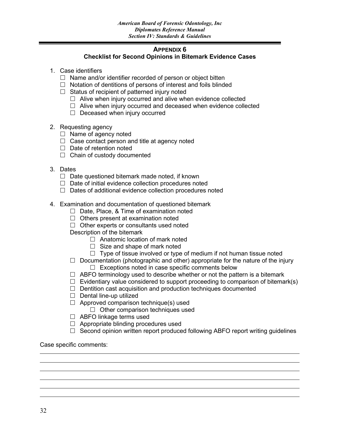#### **APPENDIX 6**

#### **Checklist for Second Opinions in Bitemark Evidence Cases**

- 1. Case identifiers
	- $\Box$  Name and/or identifier recorded of person or object bitten
	- $\Box$  Notation of dentitions of persons of interest and foils blinded
	- $\Box$  Status of recipient of patterned injury noted
		- $\Box$  Alive when injury occurred and alive when evidence collected
		- $\Box$  Alive when injury occurred and deceased when evidence collected
		- $\Box$  Deceased when injury occurred
- 2. Requesting agency
	- $\Box$  Name of agency noted
	- $\Box$  Case contact person and title at agency noted
	- $\Box$  Date of retention noted
	- $\Box$  Chain of custody documented
- 3. Dates
	- $\Box$  Date questioned bitemark made noted, if known
	- $\Box$  Date of initial evidence collection procedures noted
	- $\Box$  Dates of additional evidence collection procedures noted
- 4. Examination and documentation of questioned bitemark
	- $\Box$  Date, Place, & Time of examination noted
	- $\Box$  Others present at examination noted
	- $\Box$  Other experts or consultants used noted
	- Description of the bitemark
		- $\Box$  Anatomic location of mark noted
		- $\Box$  Size and shape of mark noted
		- $\Box$  Type of tissue involved or type of medium if not human tissue noted
	- $\Box$  Documentation (photographic and other) appropriate for the nature of the injury  $\Box$  Exceptions noted in case specific comments below
		-
	- $\Box$  ABFO terminology used to describe whether or not the pattern is a bitemark  $\Box$  Evidentiary value considered to support proceeding to comparison of bitemark(s)
	- $\Box$  Dentition cast acquisition and production techniques documented
	- $\Box$  Dental line-up utilized
	- $\Box$  Approved comparison technique(s) used
		- $\Box$  Other comparison techniques used
	- □ ABFO linkage terms used
	- $\Box$  Appropriate blinding procedures used
	- $\Box$  Second opinion written report produced following ABFO report writing guidelines

Case specific comments: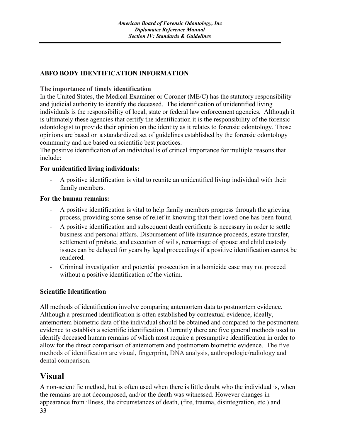#### **ABFO BODY IDENTIFICATION INFORMATION**

#### **The importance of timely identification**

In the United States, the Medical Examiner or Coroner (ME/C) has the statutory responsibility and judicial authority to identify the deceased. The identification of unidentified living individuals is the responsibility of local, state or federal law enforcement agencies. Although it is ultimately these agencies that certify the identification it is the responsibility of the forensic odontologist to provide their opinion on the identity as it relates to forensic odontology. Those opinions are based on a standardized set of guidelines established by the forensic odontology community and are based on scientific best practices.

The positive identification of an individual is of critical importance for multiple reasons that include:

#### **For unidentified living individuals:**

A positive identification is vital to reunite an unidentified living individual with their family members.

#### **For the human remains:**

- A positive identification is vital to help family members progress through the grieving process, providing some sense of relief in knowing that their loved one has been found.
- A positive identification and subsequent death certificate is necessary in order to settle business and personal affairs. Disbursement of life insurance proceeds, estate transfer, settlement of probate, and execution of wills, remarriage of spouse and child custody issues can be delayed for years by legal proceedings if a positive identification cannot be rendered.
- Criminal investigation and potential prosecution in a homicide case may not proceed without a positive identification of the victim.

#### **Scientific Identification**

All methods of identification involve comparing antemortem data to postmortem evidence. Although a presumed identification is often established by contextual evidence, ideally, antemortem biometric data of the individual should be obtained and compared to the postmortem evidence to establish a scientific identification. Currently there are five general methods used to identify deceased human remains of which most require a presumptive identification in order to allow for the direct comparison of antemortem and postmortem biometric evidence. The five methods of identification are visual, fingerprint, DNA analysis, anthropologic/radiology and dental comparison.

## **Visual**

33 A non-scientific method, but is often used when there is little doubt who the individual is, when the remains are not decomposed, and/or the death was witnessed. However changes in appearance from illness, the circumstances of death, (fire, trauma, disintegration, etc.) and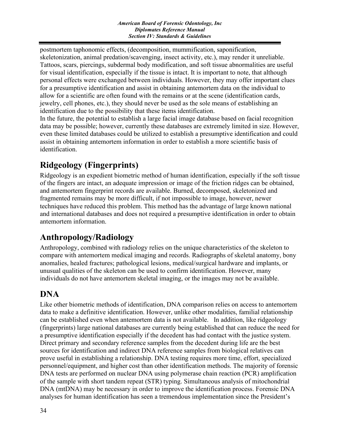postmortem taphonomic effects, (decomposition, mummification, saponification, skeletonization, animal predation/scavenging, insect activity, etc.), may render it unreliable. Tattoos, scars, piercings, subdermal body modification, and soft tissue abnormalities are useful for visual identification, especially if the tissue is intact. It is important to note, that although personal effects were exchanged between individuals. However, they may offer important clues for a presumptive identification and assist in obtaining antemortem data on the individual to allow for a scientific are often found with the remains or at the scene (identification cards, jewelry, cell phones, etc.), they should never be used as the sole means of establishing an identification due to the possibility that these items identification.

In the future, the potential to establish a large facial image database based on facial recognition data may be possible; however, currently these databases are extremely limited in size. However, even these limited databases could be utilized to establish a presumptive identification and could assist in obtaining antemortem information in order to establish a more scientific basis of identification.

## **Ridgeology (Fingerprints)**

Ridgeology is an expedient biometric method of human identification, especially if the soft tissue of the fingers are intact, an adequate impression or image of the friction ridges can be obtained, and antemortem fingerprint records are available. Burned, decomposed, skeletonized and fragmented remains may be more difficult, if not impossible to image, however, newer techniques have reduced this problem. This method has the advantage of large known national and international databases and does not required a presumptive identification in order to obtain antemortem information.

## **Anthropology/Radiology**

Anthropology, combined with radiology relies on the unique characteristics of the skeleton to compare with antemortem medical imaging and records. Radiographs of skeletal anatomy, bony anomalies, healed fractures; pathological lesions, medical/surgical hardware and implants, or unusual qualities of the skeleton can be used to confirm identification. However, many individuals do not have antemortem skeletal imaging, or the images may not be available.

## **DNA**

Like other biometric methods of identification, DNA comparison relies on access to antemortem data to make a definitive identification. However, unlike other modalities, familial relationship can be established even when antemortem data is not available. In addition, like ridgeology (fingerprints) large national databases are currently being established that can reduce the need for a presumptive identification especially if the decedent has had contact with the justice system. Direct primary and secondary reference samples from the decedent during life are the best sources for identification and indirect DNA reference samples from biological relatives can prove useful in establishing a relationship. DNA testing requires more time, effort, specialized personnel/equipment, and higher cost than other identification methods. The majority of forensic DNA tests are performed on nuclear DNA using polymerase chain reaction (PCR) amplification of the sample with short tandem repeat (STR) typing. Simultaneous analysis of mitochondrial DNA (mtDNA) may be necessary in order to improve the identification process. Forensic DNA analyses for human identification has seen a tremendous implementation since the President's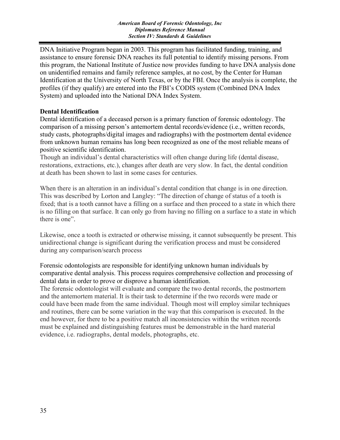DNA Initiative Program began in 2003. This program has facilitated funding, training, and assistance to ensure forensic DNA reaches its full potential to identify missing persons. From this program, the National Institute of Justice now provides funding to have DNA analysis done on unidentified remains and family reference samples, at no cost, by the Center for Human Identification at the University of North Texas, or by the FBI. Once the analysis is complete, the profiles (if they qualify) are entered into the FBI's CODIS system (Combined DNA Index System) and uploaded into the National DNA Index System.

#### **Dental Identification**

Dental identification of a deceased person is a primary function of forensic odontology. The comparison of a missing person's antemortem dental records/evidence (i.e., written records, study casts, photographs/digital images and radiographs) with the postmortem dental evidence from unknown human remains has long been recognized as one of the most reliable means of positive scientific identification.

Though an individual's dental characteristics will often change during life (dental disease, restorations, extractions, etc.), changes after death are very slow. In fact, the dental condition at death has been shown to last in some cases for centuries.

When there is an alteration in an individual's dental condition that change is in one direction. This was described by Lorton and Langley: "The direction of change of status of a tooth is fixed; that is a tooth cannot have a filling on a surface and then proceed to a state in which there is no filling on that surface. It can only go from having no filling on a surface to a state in which there is one".

Likewise, once a tooth is extracted or otherwise missing, it cannot subsequently be present. This unidirectional change is significant during the verification process and must be considered during any comparison/search process

Forensic odontologists are responsible for identifying unknown human individuals by comparative dental analysis. This process requires comprehensive collection and processing of dental data in order to prove or disprove a human identification.

The forensic odontologist will evaluate and compare the two dental records, the postmortem and the antemortem material. It is their task to determine if the two records were made or could have been made from the same individual. Though most will employ similar techniques and routines, there can be some variation in the way that this comparison is executed. In the end however, for there to be a positive match all inconsistencies within the written records must be explained and distinguishing features must be demonstrable in the hard material evidence, i.e. radiographs, dental models, photographs, etc.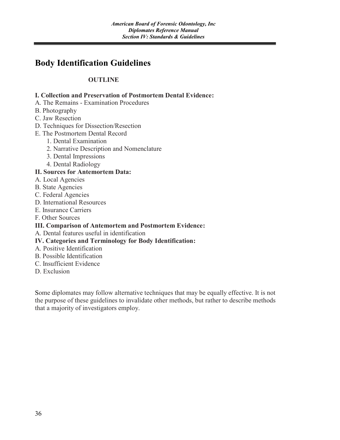## **Body Identification Guidelines**

#### **OUTLINE**

#### **I. Collection and Preservation of Postmortem Dental Evidence:**

- A. The Remains Examination Procedures
- B. Photography
- C. Jaw Resection
- D. Techniques for Dissection/Resection
- E. The Postmortem Dental Record
	- 1. Dental Examination
	- 2. Narrative Description and Nomenclature
	- 3. Dental Impressions
	- 4. Dental Radiology

#### **II. Sources for Antemortem Data:**

- A. Local Agencies
- B. State Agencies
- C. Federal Agencies
- D. International Resources
- E. Insurance Carriers
- F. Other Sources

#### **III. Comparison of Antemortem and Postmortem Evidence:**

A. Dental features useful in identification

#### **IV. Categories and Terminology for Body Identification:**

- A. Positive Identification
- B. Possible Identification
- C. Insufficient Evidence
- D. Exclusion

Some diplomates may follow alternative techniques that may be equally effective. It is not the purpose of these guidelines to invalidate other methods, but rather to describe methods that a majority of investigators employ.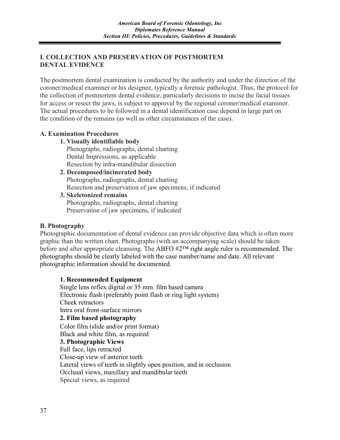#### **I. COLLECTION AND PRESERVATION OF POSTMORTEM DENTAL EVIDENCE**

The postmortem dental examination is conducted by the authority and under the direction of the coroner/medical examiner or his designee, typically a forensic pathologist. Thus, the protocol for the collection of postmortem dental evidence, particularly decisions to incise the facial tissues for access or resect the jaws, is subject to approval by the regional coroner/medical examiner. The actual procedures to be followed in a dental identification case depend in large part on the condition of the remains (as well as other circumstances of the case).

#### **A. Examination Procedures**

#### **1. Visually identifiable body**

 Photographs, radiographs, dental charting Dental Impressions, as applicable Resection by infra-mandibular dissection

#### **2. Decomposed/incinerated body**

 Photographs, radiographs, dental charting Resection and preservation of jaw specimens, if indicated

**3. Skeletonized remains**  Photographs, radiographs, dental charting Preservation of jaw specimens, if indicated

#### **B. Photography**

Photographic documentation of dental evidence can provide objective data which is often more graphic than the written chart. Photographs (with an accompanying scale) should be taken before and after appropriate cleansing. The ABFO #2™ right angle ruler is recommended. The photographs should be clearly labeled with the case number/name and date. All relevant photographic information should be documented.

#### **1. Recommended Equipment**

Single lens reflex digital or 35 mm. film based camera Electronic flash (preferably point flash or ring light system) Cheek retractors Intra oral front-surface mirrors **2. Film based photography** Color film (slide and/or print format) Black and white film, as required **3. Photographic Views** Full face, lips retracted Close-up view of anterior teeth Lateral views of teeth in slightly open position, and in occlusion Occlusal views, maxillary and mandibular teeth Special views, as required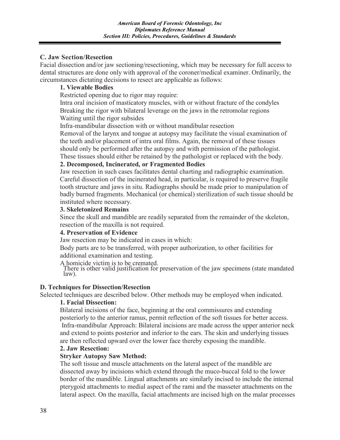#### **C. Jaw Section/Resection**

Facial dissection and/or jaw sectioning/resectioning, which may be necessary for full access to dental structures are done only with approval of the coroner/medical examiner. Ordinarily, the circumstances dictating decisions to resect are applicable as follows:

#### **1. Viewable Bodies**

Restricted opening due to rigor may require:

Intra oral incision of masticatory muscles, with or without fracture of the condyles Breaking the rigor with bilateral leverage on the jaws in the retromolar regions Waiting until the rigor subsides

Infra-mandibular dissection with or without mandibular resection

Removal of the larynx and tongue at autopsy may facilitate the visual examination of the teeth and/or placement of intra oral films. Again, the removal of these tissues should only be performed after the autopsy and with permission of the pathologist. These tissues should either be retained by the pathologist or replaced with the body.

#### **2. Decomposed, Incinerated, or Fragmented Bodies**

Jaw resection in such cases facilitates dental charting and radiographic examination. Careful dissection of the incinerated head, in particular, is required to preserve fragile tooth structure and jaws in situ. Radiographs should be made prior to manipulation of badly burned fragments. Mechanical (or chemical) sterilization of such tissue should be instituted where necessary.

#### **3. Skeletonized Remains**

Since the skull and mandible are readily separated from the remainder of the skeleton, resection of the maxilla is not required.

#### **4. Preservation of Evidence**

Jaw resection may be indicated in cases in which:

Body parts are to be transferred, with proper authorization, to other facilities for additional examination and testing.

A homicide victim is to be cremated.<br>There is other valid justification for preservation of the jaw specimens (state mandated law).

#### **D. Techniques for Dissection/Resection**

Selected techniques are described below. Other methods may be employed when indicated.

#### **1. Facial Dissection:**

Bilateral incisions of the face, beginning at the oral commissures and extending posteriorly to the anterior ramus, permit reflection of the soft tissues for better access. Infra-mandibular Approach: Bilateral incisions are made across the upper anterior neck and extend to points posterior and inferior to the ears. The skin and underlying tissues are then reflected upward over the lower face thereby exposing the mandible.

#### **2. Jaw Resection:**

#### **Stryker Autopsy Saw Method:**

The soft tissue and muscle attachments on the lateral aspect of the mandible are dissected away by incisions which extend through the muco-buccal fold to the lower border of the mandible. Lingual attachments are similarly incised to include the internal pterygoid attachments to medial aspect of the rami and the masseter attachments on the lateral aspect. On the maxilla, facial attachments are incised high on the malar processes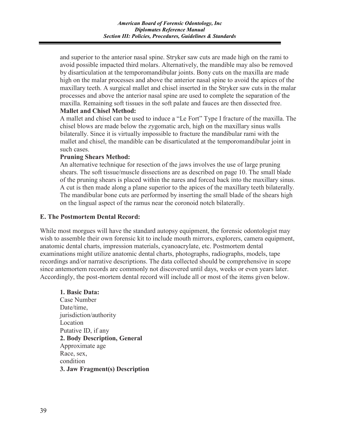and superior to the anterior nasal spine. Stryker saw cuts are made high on the rami to avoid possible impacted third molars. Alternatively, the mandible may also be removed by disarticulation at the temporomandibular joints. Bony cuts on the maxilla are made high on the malar processes and above the anterior nasal spine to avoid the apices of the maxillary teeth. A surgical mallet and chisel inserted in the Stryker saw cuts in the malar processes and above the anterior nasal spine are used to complete the separation of the maxilla. Remaining soft tissues in the soft palate and fauces are then dissected free. **Mallet and Chisel Method:**

A mallet and chisel can be used to induce a "Le Fort" Type I fracture of the maxilla. The chisel blows are made below the zygomatic arch, high on the maxillary sinus walls bilaterally. Since it is virtually impossible to fracture the mandibular rami with the mallet and chisel, the mandible can be disarticulated at the temporomandibular joint in such cases.

#### **Pruning Shears Method:**

An alternative technique for resection of the jaws involves the use of large pruning shears. The soft tissue/muscle dissections are as described on page 10. The small blade of the pruning shears is placed within the nares and forced back into the maxillary sinus. A cut is then made along a plane superior to the apices of the maxillary teeth bilaterally. The mandibular bone cuts are performed by inserting the small blade of the shears high on the lingual aspect of the ramus near the coronoid notch bilaterally.

#### **E. The Postmortem Dental Record:**

While most morgues will have the standard autopsy equipment, the forensic odontologist may wish to assemble their own forensic kit to include mouth mirrors, explorers, camera equipment, anatomic dental charts, impression materials, cyanoacrylate, etc. Postmortem dental examinations might utilize anatomic dental charts, photographs, radiographs, models, tape recordings and/or narrative descriptions. The data collected should be comprehensive in scope since antemortem records are commonly not discovered until days, weeks or even years later. Accordingly, the post-mortem dental record will include all or most of the items given below.

#### **1. Basic Data:**

Case Number Date/time, jurisdiction/authority Location Putative ID, if any **2. Body Description, General** Approximate age Race, sex, condition **3. Jaw Fragment(s) Description**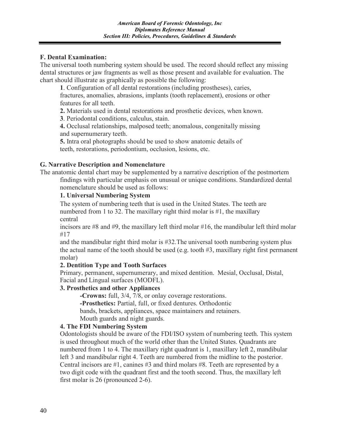#### **F. Dental Examination:**

The universal tooth numbering system should be used. The record should reflect any missing dental structures or jaw fragments as well as those present and available for evaluation. The chart should illustrate as graphically as possible the following:

**1**. Configuration of all dental restorations (including prostheses), caries, fractures, anomalies, abrasions, implants (tooth replacement), erosions or other features for all teeth.

**2.** Materials used in dental restorations and prosthetic devices, when known.

**3**. Periodontal conditions, calculus, stain.

**4.** Occlusal relationships, malposed teeth; anomalous, congenitally missing and supernumerary teeth.

**5.** Intra oral photographs should be used to show anatomic details of teeth, restorations, periodontium, occlusion, lesions, etc.

#### **G. Narrative Description and Nomenclature**

The anatomic dental chart may be supplemented by a narrative description of the postmortem findings with particular emphasis on unusual or unique conditions. Standardized dental nomenclature should be used as follows:

#### **1. Universal Numbering System**

The system of numbering teeth that is used in the United States. The teeth are numbered from 1 to 32. The maxillary right third molar is #1, the maxillary central

incisors are #8 and #9, the maxillary left third molar #16, the mandibular left third molar #17

and the mandibular right third molar is #32.The universal tooth numbering system plus the actual name of the tooth should be used (e.g. tooth #3, maxillary right first permanent molar)

#### **2. Dentition Type and Tooth Surfaces**

Primary, permanent, supernumerary, and mixed dentition. Mesial, Occlusal, Distal, Facial and Lingual surfaces (MODFL).

#### **3. Prosthetics and other Appliances**

**-Crowns:** full, 3/4, 7/8, or onlay coverage restorations. **-Prosthetics:** Partial, full, or fixed dentures. Orthodontic bands, brackets, appliances, space maintainers and retainers. Mouth guards and night guards.

#### **4. The FDI Numbering System**

Odontologists should be aware of the FDI/ISO system of numbering teeth. This system is used throughout much of the world other than the United States. Quadrants are numbered from 1 to 4. The maxillary right quadrant is 1, maxillary left 2, mandibular left 3 and mandibular right 4. Teeth are numbered from the midline to the posterior. Central incisors are #1, canines #3 and third molars #8. Teeth are represented by a two digit code with the quadrant first and the tooth second. Thus, the maxillary left first molar is 26 (pronounced 2-6).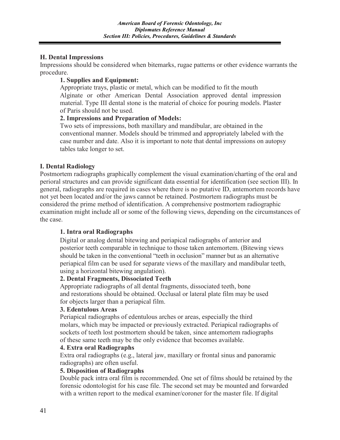#### **H. Dental Impressions**

Impressions should be considered when bitemarks, rugae patterns or other evidence warrants the procedure.

#### **1. Supplies and Equipment:**

Appropriate trays, plastic or metal, which can be modified to fit the mouth Alginate or other American Dental Association approved dental impression material. Type III dental stone is the material of choice for pouring models. Plaster of Paris should not be used.

#### **2. Impressions and Preparation of Models:**

Two sets of impressions, both maxillary and mandibular, are obtained in the conventional manner. Models should be trimmed and appropriately labeled with the case number and date. Also it is important to note that dental impressions on autopsy tables take longer to set.

#### **I. Dental Radiology**

Postmortem radiographs graphically complement the visual examination/charting of the oral and perioral structures and can provide significant data essential for identification (see section III). In general, radiographs are required in cases where there is no putative ID, antemortem records have not yet been located and/or the jaws cannot be retained. Postmortem radiographs must be considered the prime method of identification. A comprehensive postmortem radiographic examination might include all or some of the following views, depending on the circumstances of the case.

#### **1. Intra oral Radiographs**

Digital or analog dental bitewing and periapical radiographs of anterior and posterior teeth comparable in technique to those taken antemortem. (Bitewing views should be taken in the conventional "teeth in occlusion" manner but as an alternative periapical film can be used for separate views of the maxillary and mandibular teeth, using a horizontal bitewing angulation).

#### **2. Dental Fragments, Dissociated Teeth**

Appropriate radiographs of all dental fragments, dissociated teeth, bone and restorations should be obtained. Occlusal or lateral plate film may be used for objects larger than a periapical film.

#### **3. Edentulous Areas**

Periapical radiographs of edentulous arches or areas, especially the third molars, which may be impacted or previously extracted. Periapical radiographs of sockets of teeth lost postmortem should be taken, since antemortem radiographs of these same teeth may be the only evidence that becomes available.

#### **4. Extra oral Radiographs**

Extra oral radiographs (e.g., lateral jaw, maxillary or frontal sinus and panoramic radiographs) are often useful.

#### **5. Disposition of Radiographs**

Double pack intra oral film is recommended. One set of films should be retained by the forensic odontologist for his case file. The second set may be mounted and forwarded with a written report to the medical examiner/coroner for the master file. If digital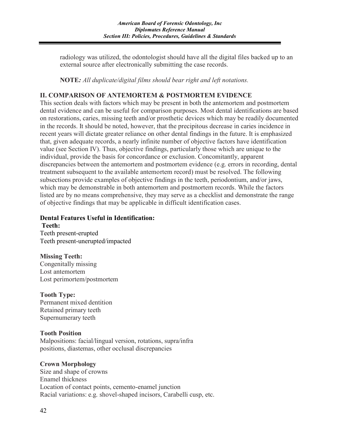radiology was utilized, the odontologist should have all the digital files backed up to an external source after electronically submitting the case records.

**NOTE***: All duplicate/digital films should bear right and left notations.*

#### **II. COMPARISON OF ANTEMORTEM & POSTMORTEM EVIDENCE**

This section deals with factors which may be present in both the antemortem and postmortem dental evidence and can be useful for comparison purposes. Most dental identifications are based on restorations, caries, missing teeth and/or prosthetic devices which may be readily documented in the records. It should be noted, however, that the precipitous decrease in caries incidence in recent years will dictate greater reliance on other dental findings in the future. It is emphasized that, given adequate records, a nearly infinite number of objective factors have identification value (see Section IV). Thus, objective findings, particularly those which are unique to the individual, provide the basis for concordance or exclusion. Concomitantly, apparent discrepancies between the antemortem and postmortem evidence (e.g. errors in recording, dental treatment subsequent to the available antemortem record) must be resolved. The following subsections provide examples of objective findings in the teeth, periodontium, and/or jaws, which may be demonstrable in both antemortem and postmortem records. While the factors listed are by no means comprehensive, they may serve as a checklist and demonstrate the range of objective findings that may be applicable in difficult identification cases.

#### **Dental Features Useful in Identification: Teeth:**

Teeth present-erupted Teeth present-unerupted/impacted

**Missing Teeth:** Congenitally missing Lost antemortem Lost perimortem/postmortem

**Tooth Type:**  Permanent mixed dentition Retained primary teeth Supernumerary teeth

#### **Tooth Position**

Malpositions: facial/lingual version, rotations, supra/infra positions, diastemas, other occlusal discrepancies

#### **Crown Morphology**

Size and shape of crowns Enamel thickness Location of contact points, cemento-enamel junction Racial variations: e.g. shovel-shaped incisors, Carabelli cusp, etc.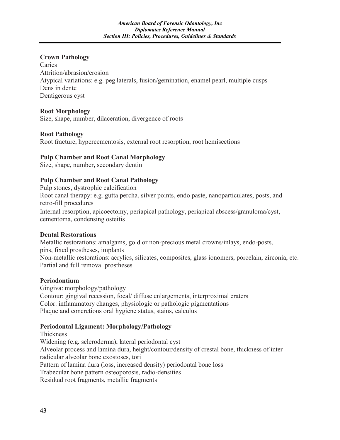#### **Crown Pathology**

Caries Attrition/abrasion/erosion Atypical variations: e.g. peg laterals, fusion/gemination, enamel pearl, multiple cusps Dens in dente Dentigerous cyst

#### **Root Morphology**

Size, shape, number, dilaceration, divergence of roots

#### **Root Pathology**

Root fracture, hypercementosis, external root resorption, root hemisections

#### **Pulp Chamber and Root Canal Morphology**

Size, shape, number, secondary dentin

#### **Pulp Chamber and Root Canal Pathology**

Pulp stones, dystrophic calcification Root canal therapy: e.g. gutta percha, silver points, endo paste, nanoparticulates, posts, and retro-fill procedures Internal resorption, apicoectomy, periapical pathology, periapical abscess/granuloma/cyst, cementoma, condensing osteitis

#### **Dental Restorations**

Metallic restorations: amalgams, gold or non-precious metal crowns/inlays, endo-posts, pins, fixed prostheses, implants Non-metallic restorations: acrylics, silicates, composites, glass ionomers, porcelain, zirconia, etc. Partial and full removal prostheses

#### **Periodontium**

Gingiva: morphology/pathology Contour: gingival recession, focal/ diffuse enlargements, interproximal craters Color: inflammatory changes, physiologic or pathologic pigmentations Plaque and concretions oral hygiene status, stains, calculus

#### **Periodontal Ligament: Morphology/Pathology**

Thickness Widening (e.g. scleroderma), lateral periodontal cyst Alveolar process and lamina dura, height/contour/density of crestal bone, thickness of interradicular alveolar bone exostoses, tori Pattern of lamina dura (loss, increased density) periodontal bone loss Trabecular bone pattern osteoporosis, radio-densities Residual root fragments, metallic fragments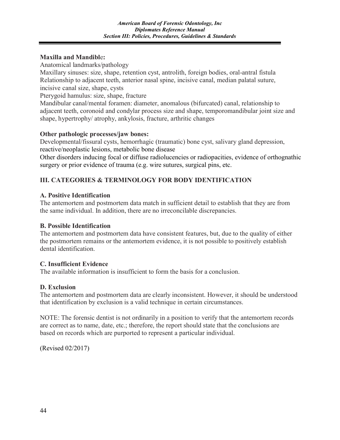#### **Maxilla and Mandibl**e**:**

Anatomical landmarks/pathology

Maxillary sinuses: size, shape, retention cyst, antrolith, foreign bodies, oral-antral fistula Relationship to adjacent teeth, anterior nasal spine, incisive canal, median palatal suture, incisive canal size, shape, cysts

Pterygoid hamulus: size, shape, fracture

Mandibular canal/mental foramen: diameter, anomalous (bifurcated) canal, relationship to adjacent teeth, coronoid and condylar process size and shape, temporomandibular joint size and shape, hypertrophy/ atrophy, ankylosis, fracture, arthritic changes

#### **Other pathologic processes/jaw bones:**

Developmental/fissural cysts, hemorrhagic (traumatic) bone cyst, salivary gland depression, reactive/neoplastic lesions, metabolic bone disease

Other disorders inducing focal or diffuse radiolucencies or radiopacities, evidence of orthognathic surgery or prior evidence of trauma (e.g. wire sutures, surgical pins, etc.

#### **III. CATEGORIES & TERMINOLOGY FOR BODY IDENTIFICATION**

#### **A. Positive Identification**

The antemortem and postmortem data match in sufficient detail to establish that they are from the same individual. In addition, there are no irreconcilable discrepancies.

#### **B. Possible Identification**

The antemortem and postmortem data have consistent features, but, due to the quality of either the postmortem remains or the antemortem evidence, it is not possible to positively establish dental identification.

#### **C. Insufficient Evidence**

The available information is insufficient to form the basis for a conclusion.

#### **D. Exclusion**

The antemortem and postmortem data are clearly inconsistent. However, it should be understood that identification by exclusion is a valid technique in certain circumstances.

NOTE: The forensic dentist is not ordinarily in a position to verify that the antemortem records are correct as to name, date, etc.; therefore, the report should state that the conclusions are based on records which are purported to represent a particular individual.

(Revised 02/2017)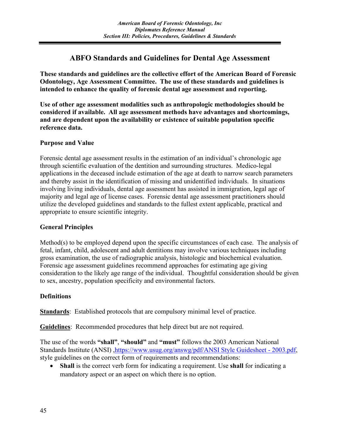#### **ABFO Standards and Guidelines for Dental Age Assessment**

**These standards and guidelines are the collective effort of the American Board of Forensic Odontology, Age Assessment Committee. The use of these standards and guidelines is intended to enhance the quality of forensic dental age assessment and reporting.** 

**Use of other age assessment modalities such as anthropologic methodologies should be considered if available. All age assessment methods have advantages and shortcomings, and are dependent upon the availability or existence of suitable population specific reference data.**

#### **Purpose and Value**

Forensic dental age assessment results in the estimation of an individual's chronologic age through scientific evaluation of the dentition and surrounding structures. Medico-legal applications in the deceased include estimation of the age at death to narrow search parameters and thereby assist in the identification of missing and unidentified individuals. In situations involving living individuals, dental age assessment has assisted in immigration, legal age of majority and legal age of license cases. Forensic dental age assessment practitioners should utilize the developed guidelines and standards to the fullest extent applicable, practical and appropriate to ensure scientific integrity.

#### **General Principles**

Method(s) to be employed depend upon the specific circumstances of each case. The analysis of fetal, infant, child, adolescent and adult dentitions may involve various techniques including gross examination, the use of radiographic analysis, histologic and biochemical evaluation. Forensic age assessment guidelines recommend approaches for estimating age giving consideration to the likely age range of the individual. Thoughtful consideration should be given to sex, ancestry, population specificity and environmental factors.

#### **Definitions**

**Standards**: Established protocols that are compulsory minimal level of practice.

**Guidelines**: Recommended procedures that help direct but are not required.

The use of the words **"shall"**, **"should"** and **"must"** follows the 2003 American National Standards Institute (ANSI) [,https://www.usug.org/answg/pdf/ANSI Style Guidesheet -](https://www.usug.org/answg/pdf/ANSI%20Style%20Guidesheet%20-%202003.pdf) 2003.pdf, style guidelines on the correct form of requirements and recommendations:

• **Shall** is the correct verb form for indicating a requirement. Use **shall** for indicating a mandatory aspect or an aspect on which there is no option.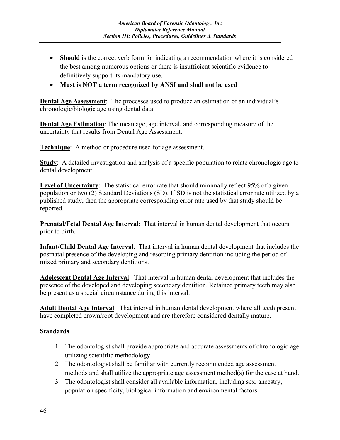- **Should** is the correct verb form for indicating a recommendation where it is considered the best among numerous options or there is insufficient scientific evidence to definitively support its mandatory use.
- **Must is NOT a term recognized by ANSI and shall not be used**

**Dental Age Assessment**: The processes used to produce an estimation of an individual's chronologic/biologic age using dental data.

**Dental Age Estimation**: The mean age, age interval, and corresponding measure of the uncertainty that results from Dental Age Assessment.

**Technique**: A method or procedure used for age assessment.

**Study**: A detailed investigation and analysis of a specific population to relate chronologic age to dental development.

**Level of Uncertainty**: The statistical error rate that should minimally reflect 95% of a given population or two (2) Standard Deviations (SD). If SD is not the statistical error rate utilized by a published study, then the appropriate corresponding error rate used by that study should be reported.

**Prenatal/Fetal Dental Age Interval**: That interval in human dental development that occurs prior to birth.

**Infant/Child Dental Age Interval**: That interval in human dental development that includes the postnatal presence of the developing and resorbing primary dentition including the period of mixed primary and secondary dentitions.

**Adolescent Dental Age Interval**: That interval in human dental development that includes the presence of the developed and developing secondary dentition. Retained primary teeth may also be present as a special circumstance during this interval.

**Adult Dental Age Interval**: That interval in human dental development where all teeth present have completed crown/root development and are therefore considered dentally mature.

#### **Standards**

- 1. The odontologist shall provide appropriate and accurate assessments of chronologic age utilizing scientific methodology.
- 2. The odontologist shall be familiar with currently recommended age assessment methods and shall utilize the appropriate age assessment method(s) for the case at hand.
- 3. The odontologist shall consider all available information, including sex, ancestry, population specificity, biological information and environmental factors.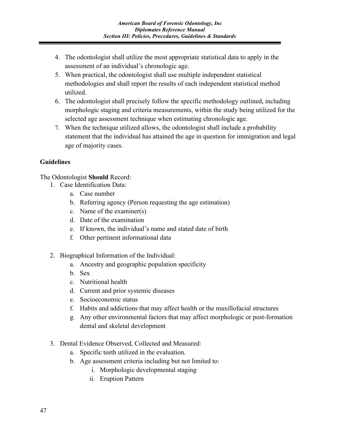- 4. The odontologist shall utilize the most appropriate statistical data to apply in the assessment of an individual's chronologic age.
- 5. When practical, the odontologist shall use multiple independent statistical methodologies and shall report the results of each independent statistical method utilized.
- 6. The odontologist shall precisely follow the specific methodology outlined, including morphologic staging and criteria measurements, within the study being utilized for the selected age assessment technique when estimating chronologic age.
- 7. When the technique utilized allows, the odontologist shall include a probability statement that the individual has attained the age in question for immigration and legal age of majority cases.

#### **Guidelines**

The Odontologist **Should** Record:

- 1. Case Identification Data:
	- a. Case number
	- b. Referring agency (Person requesting the age estimation)
	- c. Name of the examiner(s)
	- d. Date of the examination
	- e. If known, the individual's name and stated date of birth
	- f. Other pertinent informational data
- 2. Biographical Information of the Individual:
	- a. Ancestry and geographic population specificity
	- b. Sex
	- c. Nutritional health
	- d. Current and prior systemic diseases
	- e. Socioeconomic status
	- f. Habits and addictions that may affect health or the maxillofacial structures
	- g. Any other environmental factors that may affect morphologic or post-formation dental and skeletal development
- 3. Dental Evidence Observed, Collected and Measured:
	- a. Specific teeth utilized in the evaluation.
	- b. Age assessment criteria including but not limited to:
		- i. Morphologic developmental staging
		- ii. Eruption Pattern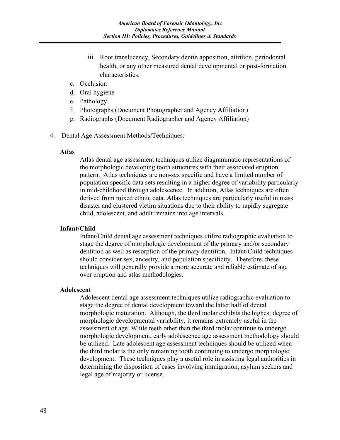- iii. Root translucency, Secondary dentin apposition, attrition, periodontal health, or any other measured dental developmental or post-formation characteristics.
- c. Occlusion
- d. Oral hygiene
- e. Pathology
- f. Photographs (Document Photographer and Agency Affiliation)
- g. Radiographs (Document Radiographer and Agency Affiliation)
- 4. Dental Age Assessment Methods/Techniques:

#### **Atlas**

Atlas dental age assessment techniques utilize diagrammatic representations of the morphologic developing tooth structures with their associated eruption pattern. Atlas techniques are non-sex specific and have a limited number of population specific data sets resulting in a higher degree of variability particularly in mid-childhood through adolescence. In addition, Atlas techniques are often derived from mixed ethnic data. Atlas techniques are particularly useful in mass disaster and clustered victim situations due to their ability to rapidly segregate child, adolescent, and adult remains into age intervals.

#### **Infant/Child**

Infant/Child dental age assessment techniques utilize radiographic evaluation to stage the degree of morphologic development of the primary and/or secondary dentition as well as resorption of the primary dentition. Infant/Child techniques should consider sex, ancestry, and population specificity. Therefore, these techniques will generally provide a more accurate and reliable estimate of age over eruption and atlas methodologies.

#### **Adolescent**

Adolescent dental age assessment techniques utilize radiographic evaluation to stage the degree of dental development toward the latter half of dental morphologic maturation. Although, the third molar exhibits the highest degree of morphologic developmental variability, it remains extremely useful in the assessment of age. While teeth other than the third molar continue to undergo morphologic development, early adolescence age assessment methodology should be utilized. Late adolescent age assessment techniques should be utilized when the third molar is the only remaining tooth continuing to undergo morphologic development. These techniques play a useful role in assisting legal authorities in determining the disposition of cases involving immigration, asylum seekers and legal age of majority or license.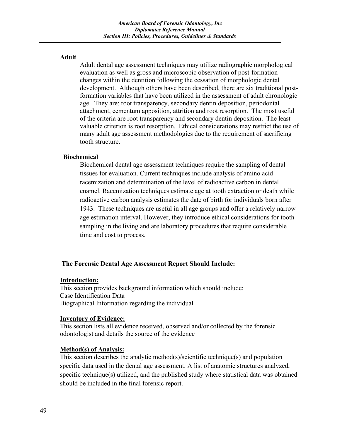#### **Adult**

Adult dental age assessment techniques may utilize radiographic morphological evaluation as well as gross and microscopic observation of post-formation changes within the dentition following the cessation of morphologic dental development. Although others have been described, there are six traditional postformation variables that have been utilized in the assessment of adult chronologic age. They are: root transparency, secondary dentin deposition, periodontal attachment, cementum apposition, attrition and root resorption. The most useful of the criteria are root transparency and secondary dentin deposition. The least valuable criterion is root resorption. Ethical considerations may restrict the use of many adult age assessment methodologies due to the requirement of sacrificing tooth structure.

#### **Biochemical**

Biochemical dental age assessment techniques require the sampling of dental tissues for evaluation. Current techniques include analysis of amino acid racemization and determination of the level of radioactive carbon in dental enamel. Racemization techniques estimate age at tooth extraction or death while radioactive carbon analysis estimates the date of birth for individuals born after 1943. These techniques are useful in all age groups and offer a relatively narrow age estimation interval. However, they introduce ethical considerations for tooth sampling in the living and are laboratory procedures that require considerable time and cost to process.

#### **The Forensic Dental Age Assessment Report Should Include:**

#### **Introduction:**

This section provides background information which should include; Case Identification Data Biographical Information regarding the individual

#### **Inventory of Evidence:**

This section lists all evidence received, observed and/or collected by the forensic odontologist and details the source of the evidence

#### **Method(s) of Analysis:**

This section describes the analytic method(s)/scientific technique(s) and population specific data used in the dental age assessment. A list of anatomic structures analyzed, specific technique(s) utilized, and the published study where statistical data was obtained should be included in the final forensic report.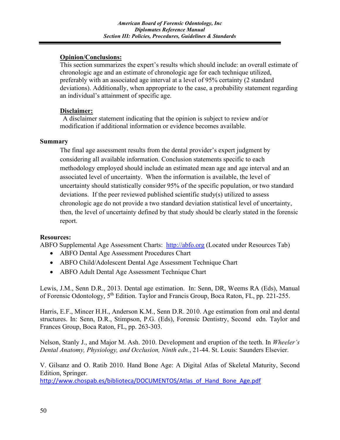#### **Opinion/Conclusions:**

This section summarizes the expert's results which should include: an overall estimate of chronologic age and an estimate of chronologic age for each technique utilized, preferably with an associated age interval at a level of 95% certainty (2 standard deviations). Additionally, when appropriate to the case, a probability statement regarding an individual's attainment of specific age.

#### **Disclaimer:**

A disclaimer statement indicating that the opinion is subject to review and/or modification if additional information or evidence becomes available.

#### **Summary**

The final age assessment results from the dental provider's expert judgment by considering all available information. Conclusion statements specific to each methodology employed should include an estimated mean age and age interval and an associated level of uncertainty. When the information is available, the level of uncertainty should statistically consider 95% of the specific population, or two standard deviations. If the peer reviewed published scientific study(s) utilized to assess chronologic age do not provide a two standard deviation statistical level of uncertainty, then, the level of uncertainty defined by that study should be clearly stated in the forensic report.

#### **Resources:**

ABFO Supplemental Age Assessment Charts: [http://abfo.org](http://abfo.org/) (Located under Resources Tab)

- ABFO Dental Age Assessment Procedures Chart
- ABFO Child/Adolescent Dental Age Assessment Technique Chart
- ABFO Adult Dental Age Assessment Technique Chart

Lewis, J.M., Senn D.R., 2013. Dental age estimation. In: Senn, DR, Weems RA (Eds), Manual of Forensic Odontology, 5th Edition. Taylor and Francis Group, Boca Raton, FL, pp. 221-255.

Harris, E.F., Mincer H.H., Anderson K.M., Senn D.R. 2010. Age estimation from oral and dental structures. In: Senn, D.R., Stimpson, P.G. (Eds), Forensic Dentistry, Second edn. Taylor and Frances Group, Boca Raton, FL, pp. 263-303.

Nelson, Stanly J., and Major M. Ash. 2010. Development and eruption of the teeth. In *Wheeler's Dental Anatomy, Physiology, and Occlusion, Ninth edn.*, 21-44. St. Louis: Saunders Elsevier.

V. Gilsanz and O. Ratib 2010. Hand Bone Age: A Digital Atlas of Skeletal Maturity, Second Edition, Springer.

[http://www.chospab.es/biblioteca/DOCUMENTOS/Atlas\\_of\\_Hand\\_Bone\\_Age.pdf](http://www.chospab.es/biblioteca/DOCUMENTOS/Atlas_of_Hand_Bone_Age.pdf)